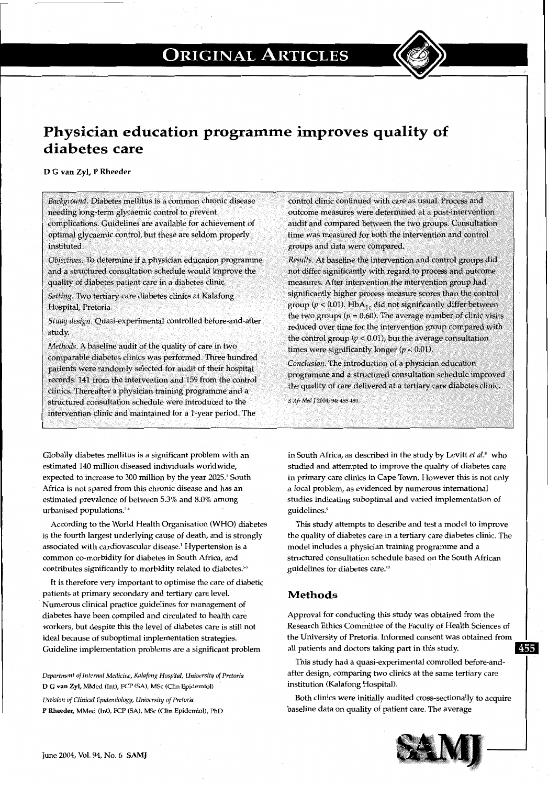## **ORIGINAL ARTICLES**



### **Physician education programme improves quality of diabetes care**

### D G van Zyl, P Rheeder

*Background.* Diabetes mellitus is a common chronic disease needing long-term glycaemic control to prevent complications. Guidelines are available for achievement of optimal glycaemic control, but these are seldom properly instituted.

*Objectives.* To determine if a physician education programme and a structured consultation schedule would improve the quality of diabetes patient care in a diabetes clinic.

*Setting.* Two tertiary care diabetes clinics at Kalafong Hospital, Pretoria.

*Study design.* Quasi-experimental controlled before-and-after study.

*Methods.* A baseline audit of the quality of care in two comparable diabetes clinics was performed. Three hundred patients were randomly selected for audit of their hospital records: 141 from the intervention and 159 from the control clinics. Thereafter a physician training programme and a structured consultation schedule were introduced to the intervention clinic and maintained for a 1-year period. The

Globally diabetes mellitus is a significant problem with an estimated 140 million diseased individuals worldwide, expected to increase to 300 million by the year 2025.<sup>1</sup> South Africa is not spared from this chronic disease and has an estimated prevalence of between 5.3% and 8.0% among urbanised populations.<sup>24</sup>

According to the World Health Organisation (WHO) diabetes is the fourth largest underlying cause of death, and is strongly associated with cardiovascular disease.' Hypertension is a common co-morbidity for diabetes in South Africa, and contributes significantly to morbidity related to diabetes.<sup>5-7</sup>

It is therefore very important to optimise the care of diabetic patients at primary secondary and tertiary care level. Numerous clinical practice guidelines for management of diabetes have been compiled and circulated to health care workers, but despite this the level of diabetes care is still not ideal because of suboptimal implementation strategies. Guideline implementation problems are a significant problem

*Department of Internal Medicine, Kalafong Hospital, University of Pretoria*  D G van Zyl, MMed (Int), FCP (SA), MSc (Clin Epidemiol)

*Division of Clinical Epidemiology, University of Pretoria*  P Rheeder, MMed (Int), FCP (SA), MSc (Clin Epidemiol), PhD control clinic continued with care as usual. Process and outcome measures were determined at a post-intervention audit and compared between the two groups. Consultation time was measured for both the intervention and control groups and data were compared.

*Results.* At baseline the intervention and control groups did not differ significantly with regard to process and outcome measures. After intervention the intervention group had significantly higher process measure scores than the control group ( $p < 0.01$ ). Hb $A_{1c}$  did not significantly differ between the two groups ( $p = 0.60$ ). The average number of clinic visits reduced over time for the intervention group compared with the control group  $(p < 0.01)$ , but the average consultation times were significantly longer  $(p < 0.01)$ .

*Conclusion.* The introduction of a physician education programme and a structured consultation schedule improved the quality of care delivered at a tertiary care diabetes clinic.

*S Afr Med* J 2004; 94: 455-459.

in South Africa, as described in the study by Levitt et al.<sup>8</sup> who studied and attempted to improve the quality of diabetes care in primary care clinics in Cape Town. However this is not only a local problem, as evidenced by numerous international studies indicating suboptimal and varied implementation of guidelines.<sup>9</sup>

This study attempts to describe and test a model to improve the quality of diabetes care in a tertiary care diabetes clinic. The model includes a physician training programme and a structured consultation schedule based on the South African guidelines for diabetes care.10

### **Methods**

Approval for conducting this study was obtained from the Research Ethics Committee of the Faculty of Health Sciences of the University of Pretoria. Informed consent was obtained from all patients and doctors taking part in this study. 455

This study had a quasi-experimental controlled before-andafter design, comparing two clinics at the same tertiary care institution (Kalafong Hospital).

Both clinics were initially audited cross-sectionally to acquire baseline data on quality of patient care. The average

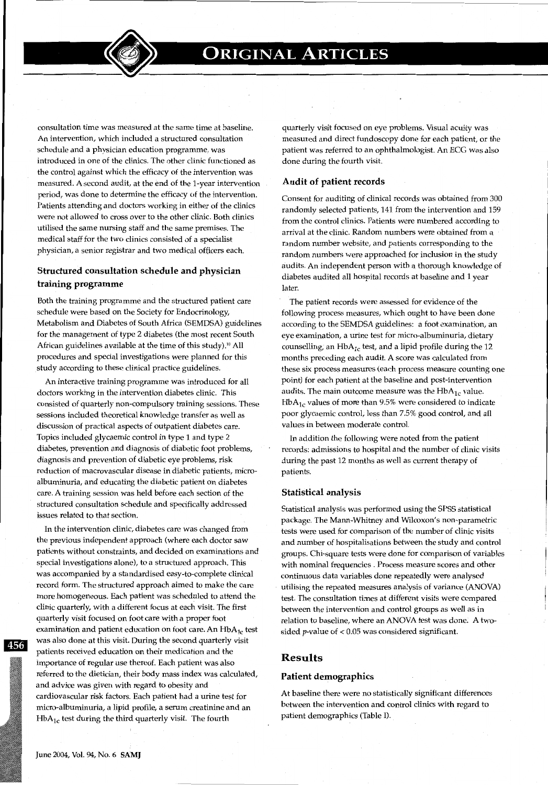consultation time was measured at the same time at baseline. An intervention, which included a structured consultation schedule and a physician education programme, was introduced in one of the clinics. The other clinic functioned as the control against which the efficacy of the intervention was measured. A second audit, at the end of the 1-year intervention period, was done to determine the efficacy of the intervention. Patients attending and doctors working in either of the clinics were not allowed to cross over to the other clinic. Both clinics utilised the same nursing staff and the same premises. The medical staff for the two clinics consisted of a specialist physician, a senior registrar and two medical officers each.

### **Structured consultation schedule and physician training programme**

Both the training programme and the structured patient care schedule were based on the Society for Endocrinology, Metabolism and Diabetes of South Africa (SEMDSA) guidelines for the management of type 2 diabetes (the most recent South African guidelines available at the time of this study).<sup>10</sup> All procedures and special investigations were planned for this study according to these clinical practice guidelines.

An interactive training programme was introduced for all doctors working in the intervention diabetes clinic. This consisted of quarterly non-compulsory training sessions. These sessions included theoretical knowledge transfer as well as discussion of practical aspects of outpatient diabetes care. Topics included glycaemic control in type 1 and type 2 diabetes, prevention and diagnosis of diabetic foot problems, diagnosis and prevention of diabetic eye problems, risk reduction of macrovascular disease in diabetic patients, microalbuminuria, and educating the diabetic patient on diabetes care. A training session was held before each section of the structured consultation schedule and specifically addressed issues related to that section.

In the intervention clinic, diabetes care was changed from the previous independent approach (where each doctor saw patients without constraints, and decided on examinations and special investigations alone), to a structured approach. This was accompanied by a standardised easy-to-complete clinical record form. The structured approach aimed to make the care more homogeneous. Each patient was scheduled to attend the clinic quarterly, with a different focus at each visit. The first quarterly visit focused on foot care with a proper foot examination and patient education on foot care. An  $HbA_{1c}$  test was also done at this visit. During the second quarterly visit patients received education on their medication and the importance of regular use thereof. Each patient was also referred to the dietician, their body mass index was calculated, and advice was given with regard to obesity and cardiovascular risk factors. Each patient had a urine test for micro-albuminuria, a lipid profile, a serum creatinine and an  $HbA<sub>1c</sub>$  test during the third quarterly visit. The fourth

quarterly visit focused on eye problems. Visual acuity was measured and direct fundoscopy done for each patient, or the patient was referred to an ophthalmologist. An ECG was also done during the fourth visit.

### **Audit of patient records**

Consent for auditing of clinical records was obtained from 300 randomly selected patients, 141 from the intervention and 159 from the control clinics. Patients were numbered according to arrival at the clinic. Random numbers were obtained from a random number website, and patients corresponding to the random numbers were approached for inclusion in the study audits. An independent person with a thorough knowledge of diabetes audited all hospital records at baseline and 1 year later.

The patient records were assessed for evidence of the following process measures, which ought to have been done according to the SEMDSA guidelines: a foot examination, an eye examination, a urine test for micro-albuminuria, dietary counselling, an  $HbA_{1c}$  test, and a lipid profile during the 12 months preceding each audit. A score was calculated from these six process measures (each process measure counting one point) for each patient at the baseline and post-intervention audits. The main outcome measure was the  $HbA_{1c}$  value.  $HbA<sub>1c</sub>$  values of more than 9.5% were considered to indicate poor glycaemic control, less than 7.5% good control, and all values in between moderate control.

In addition the following were noted from the patient records: admissions to hospital and the number of clinic visits during the past 12 months as well as current therapy of patients.

### **Statistical analysis**

Statistical analysis was performed using the SPSS statistical package. The Mann-Whitney and Wilcoxon's non-parametric tests were used for comparison of the number of clinic visits and number of hospitalisations between the study and control groups. Chi-square tests were done for comparison of variables with nominal frequencies . Process measure scores and other continuous data variables done repeatedly were analysed utilising the repeated measures analysis of variance (ANOVA) test. The consultation times at different visits were compared between the intervention and control groups as well as in relation to baseline, where an ANOVA test was done: A twosided *p*-value of  $< 0.05$  was considered significant

### **Results**

### **Patient demographics**

At baseline there were no statistically significant differences between the intervention and control clinics with regard to patient demographics (Table I).

45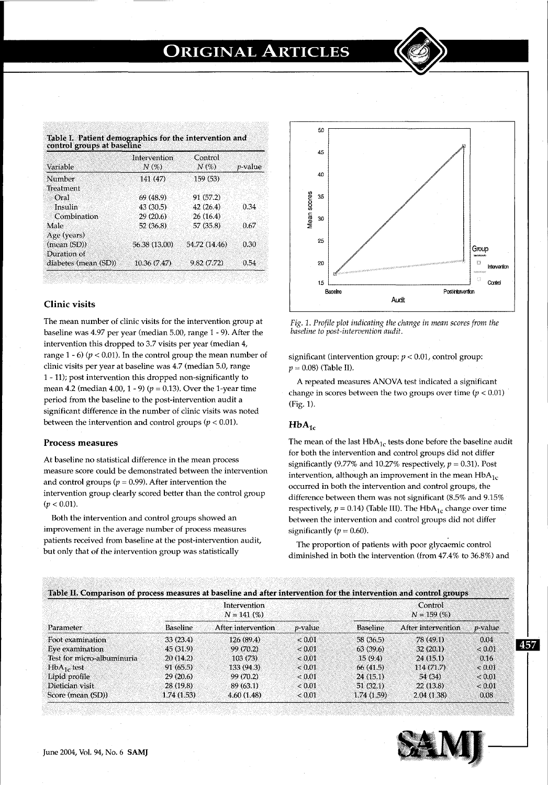# **ORIGINAL ARTICLES**

| Variable             | Intervention<br>N(% | Control<br>N(% | $p$ -value |
|----------------------|---------------------|----------------|------------|
|                      |                     |                |            |
| Number               | 141 (47)            | 159(53)        |            |
| Treatment            |                     |                |            |
| Oral                 | 69 (48.9)           | 91 (57.2)      |            |
| Insulin              | 43 (30.5)           | 42 (26.4)      | 0.34       |
| Combination          | 29(20.6)            | 26(16.4)       |            |
| Male                 | 52 (36.8)           | 57 (35.8)      | 0.67       |
| Age (years)          |                     |                |            |
| (mean (SD))          | 56.38 (13.00)       | 54.72 (14.46)  | 0.30       |
| Duration of          |                     |                |            |
| diabetes (mean (SD)) | 10.36 (7.47)        | 9.82 (7.72)    | 0.54       |

### Clinic visits

The mean number of clinic visits for the intervention group at baseline was 4.97 per year (median 5.00, range 1 - 9). After the intervention this dropped to 3.7 visits per year (median 4, range  $1 - 6$ ) ( $p < 0.01$ ). In the control group the mean number of clinic visits per year at baseline was 4.7 (median 5.0, range 1 - 11); post intervention this dropped non-significantly to mean 4.2 (median 4.00, 1 - 9) ( $p = 0.13$ ). Over the 1-year time period from the baseline to the post-intervention audit a significant difference in the number of clinic visits was noted between the intervention and control groups ( $p < 0.01$ ).

#### Process measures

At baseline no statistical difference in the mean process measure score could be demonstrated between the intervention and control groups ( $p = 0.99$ ). After intervention the intervention group clearly scored better than the control group  $(p < 0.01)$ .

Both the intervention and control groups showed an improvement in the average number of process measures patients received from baseline at the post-intervention audit, but only that of the intervention group was statistically



*Fig. 1. Profile plot indicating the change in mean scores from the baseline to post-intervention audit.* 

significant (intervention group: *p* < 0.01, control group: *p* = 0.08) (Table II).

A repeated measures ANOVA test indicated a significant change in scores between the two groups over time  $(p < 0.01)$ (Fig. 1).

### $HbA_{1c}$

The mean of the last  $HbA_{1c}$  tests done before the baseline audit for both the intervention and control groups did not differ significantly (9.77% and 10.27% respectively,  $p = 0.31$ ). Post intervention, although an improvement in the mean  $HbA_{1c}$ occurred in both the intervention and control groups, the difference between them was not significant (8.5% and 9.15% respectively,  $p = 0.14$ ) (Table III). The Hb $A_{1c}$  change over time between the intervention and control groups did not differ significantly  $(p = 0.60)$ .

The proportion of patients with poor glycaemic control diminished in both the intervention (from 47.4% to 36.8%) and

| Parameter                  | Intervention<br>$N = 141(%)$ |                    |                 | Control<br>$N = 159(%)$ |                    |                 |
|----------------------------|------------------------------|--------------------|-----------------|-------------------------|--------------------|-----------------|
|                            | <b>Baseline</b>              | After intervention | <i>p</i> -value | <b>Baseline</b>         | After intervention | <i>p</i> -value |
| Foot examination           | 33(23.4)                     | 126(89.4)          | &0.01           | 58 (36.5)               | 78 (49.1)          | 0.04            |
| Eye examination            | 45 (31.9)                    | 99 (70.2)          | < 0.01          | 63(39.6)                | 32(20.1)           | <0.01           |
| Test for micro-albuminuria | 20(14.2)                     | 103(73)            | < 0.01          | 15(9.4)                 | 24(15.1)           | 0.16            |
| $HbA1$ , test              | 91 (65.5)                    | 133 (94.3)         | ${}_{< 0.01}$   | 66 (41.5)               | 114(71.7)          | ${}_{0.01}$     |
| Lipid profile              | 29 (20.6)                    | 99 (70.2)          | < 0.01          | 24 (15.1)               | 54 (34)            | < 0.01          |
| Dietician visit            | 28 (19.8)                    | 89 (63.1)          | ${}_{< 0.01}$   | 51(32.1)                | 22 (13.8)          | < 0.01          |
| Score (mean (SD))          | 1.74 (1.53)                  | 4.60(1.48)         | ${}_{< 0.01}$   | 1.74(1.59)              | 2.04(1.38)         | 0.08            |



**Oil**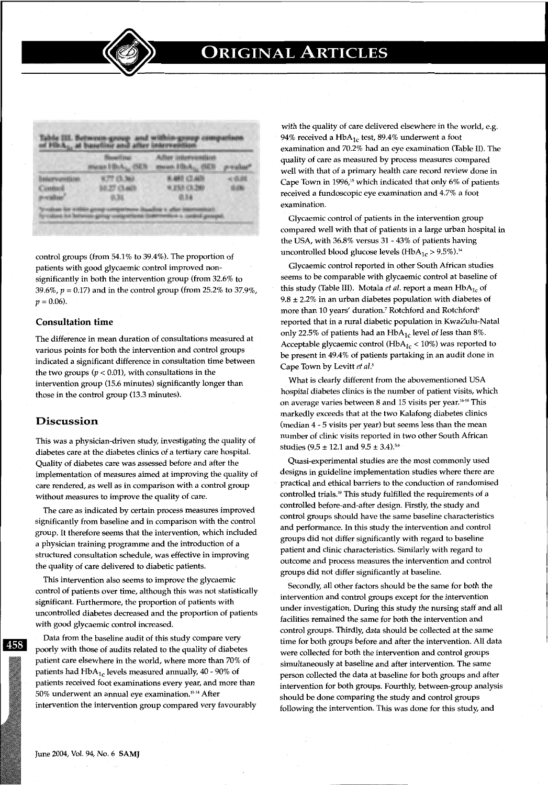

|                                                                            | <b><i>Mausettase:</i></b><br>muse Hb/A <sub>S</sub> (SER) | <b>Adlas internessition</b><br>mount Hitch  (SDR) | perceitur  |
|----------------------------------------------------------------------------|-----------------------------------------------------------|---------------------------------------------------|------------|
| <b><i><u>BRAKEFAUSTARENER</u></i></b><br>Contact<br><b>UP-retail car</b> d | W.77 (5.3m)<br>BB27 (5.440)<br>(8,34)                     | K402 (2.40)<br><b>W.255 (3.26)</b><br>0.14        | ≤信道性<br>电路 |

control groups (from 54.1% to 39.4%). The proportion of patients with good glycaemic control improved nonsignificantly in both the intervention group (from 32.6% to 39.6%,  $p = 0.17$ ) and in the control group (from 25.2% to 37.9%,  $p = 0.06$ .

### **Consultation time**

The difference in mean duration of consultations measured at various points for both the intervention and control groups indicated a significant difference in consultation time between the two groups  $(p < 0.01)$ , with consultations in the intervention group (15.6 minutes) significantly longer than those in the control group (13.3 minutes).

### **Discussion**

This was a physician-driven study, investigating the quality of diabetes care at the diabetes clinics of a tertiary care hospitaL Quality of diabetes care was assessed before and after the implementation of measures aimed at improving the quality of care rendered, as well as in comparison with a control group without measures to improve the quality of care.

The care as indicated by certain process measures improved significantly from baseline and in comparison with the control group. It therefore seems that the intervention, which included a physician training programme and the introduction of a structured consultation schedule, was effective in improving the quality of care delivered to diabetic patients.

This intervention also seems to improve the glycaemic control of patients over time, although this was not statistically significant. Furthermore, the proportion of patients with uncontrolled diabetes decreased and the proportion of patients with good glycaemic control increased.

Data from the baseline audit of this study compare very poorly with those of audits related to the quality of diabetes patient care elsewhere in the world, where more than 70% of patients had  $HbA_{1c}$  levels measured annually, 40 - 90% of patients received foot examinations every year, and more than 50% underwent an annual eye examination.11- 14 After intervention the intervention group compared very favourably with the quality of care delivered elsewhere in the world, e.g. 94% received a Hb $A_{1c}$  test, 89.4% underwent a foot examination and 70.2% had an eye examination (Table II). The quality of care as measured by process measures compared well with that of a primary health care record review done in Cape Town in 1996/5 which indicated that only 6% of patients received a fundoscopic eye examination and 4.7% a foot examination.

Glycaemic control of patients in the intervention group compared well with that of patients in a large urban hospital in the USA, with 36.8% versus 31 - 43% of patients having uncontrolled blood glucose levels (HbA<sub>1c</sub> > 9.5%).<sup>14</sup>

Glycaemic control reported in other South African studies seems to be comparable with glycaemic control at baseline of this study (Table III). Motala *et al.* report a mean HbA<sub>1c</sub> of  $9.8 \pm 2.2\%$  in an urban diabetes population with diabetes of more than 10 years' duration.<sup>7</sup> Rotchford and Rotchford<sup>6</sup> reported that in a rural diabetic population in KwaZulu-Natal only 22.5% of patients had an  $HbA_{1c}$  level of less than 8%. Acceptable glycaemic control (HbA<sub>1c</sub> < 10%) was reported to be present in 49.4% of patients partaking in an audit done in Cape Town by Levitt et al.<sup>5</sup>

What is clearly different from the abovementioned USA hospital diabetes clinics is the number of patient visits, which on average varies between 8 and 15 visits per year.<sup>16-18</sup> This markedly exceeds that at the two Kalafong diabetes clinics (median 4 - 5 visits per year) but seems less than the mean number of clinic visits reported in two other South African studies (9.5  $\pm$  12.1 and 9.5  $\pm$  3.4).<sup>5,6</sup>

Quasi-experimental studies are the most commonly used designs in guideline implementation studies where there are practical and ethical barriers to the conduction of randomised controlled trials.19 This study fulfilled the requirements of a controlled before-and-after design. Firstly, the study and control groups should have the same baseline characteristics and performance. In this study the intervention and control groups did not differ significantly with regard to baseline patient and clinic characteristics. Similarly with regard to outcome and process measures the intervention and control groups did not differ significantly at baseline.

Secondly, all other factors should be the same for both the intervention and control groups except for the intervention under investigation. During this study the nursing staff and all facilities remained the same for both the intervention and control groups. Thirdly, data should be collected at the same time for both groups before and after the intervention. All data were collected for both the intervention and control groups simultaneously at baseline and after intervention. The same person collected the data at baseline for both groups and after intervention for both groups. Fourthly, between-group analysis should be done comparing the study and control groups following the intervention. This was done for this study, and

458